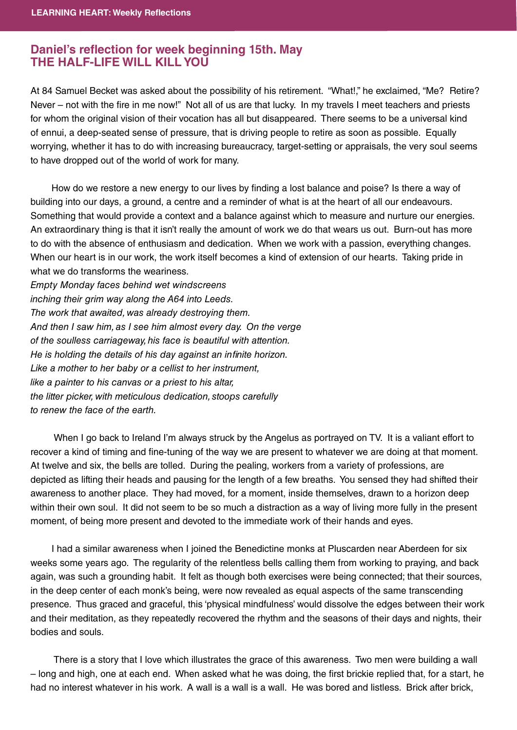## **Daniel's reflection for week beginning 15th. May THE HALF-LIFE WILL KILL YOU THE HALF-LIFE WILL KILL YOU**

At 84 Samuel Becket was asked about the possibility of his retirement. "What!," he exclaimed, "Me? Retire? Never – not with the fire in me now!" Not all of us are that lucky. In my travels I meet teachers and priests for whom the original vision of their vocation has all but disappeared. There seems to be a universal kind of ennui, a deep-seated sense of pressure, that is driving people to retire as soon as possible. Equally worrying, whether it has to do with increasing bureaucracy, target-setting or appraisals, the very soul seems to have dropped out of the world of work for many.

How do we restore a new energy to our lives by finding a lost balance and poise? Is there a way of building into our days, a ground, a centre and a reminder of what is at the heart of all our endeavours. Something that would provide a context and a balance against which to measure and nurture our energies. An extraordinary thing is that it isn't really the amount of work we do that wears us out. Burn-out has more to do with the absence of enthusiasm and dedication. When we work with a passion, everything changes. When our heart is in our work, the work itself becomes a kind of extension of our hearts. Taking pride in what we do transforms the weariness.

Empty Monday faces behind wet windscreens inching their grim way along the A64 into Leeds. The work that awaited, was already destroying them. And then I saw him, as I see him almost every day. On the verge of the soulless carriageway, his face is beautiful with attention. He is holding the details of his day against an infinite horizon. Like a mother to her baby or a cellist to her instrument, like a painter to his canvas or a priest to his altar, the litter picker, with meticulous dedication, stoops carefully to renew the face of the earth.

When I go back to Ireland I'm always struck by the Angelus as portrayed on TV. It is a valiant effort to recover a kind of timing and fine-tuning of the way we are present to whatever we are doing at that moment. At twelve and six, the bells are tolled. During the pealing, workers from a variety of professions, are depicted as lifting their heads and pausing for the length of a few breaths. You sensed they had shifted their awareness to another place. They had moved, for a moment, inside themselves, drawn to a horizon deep within their own soul. It did not seem to be so much a distraction as a way of living more fully in the present moment, of being more present and devoted to the immediate work of their hands and eyes.

 I had a similar awareness when I joined the Benedictine monks at Pluscarden near Aberdeen for six weeks some years ago. The regularity of the relentless bells calling them from working to praying, and back again, was such a grounding habit. It felt as though both exercises were being connected; that their sources, in the deep center of each monk's being, were now revealed as equal aspects of the same transcending presence. Thus graced and graceful, this 'physical mindfulness' would dissolve the edges between their work and their meditation, as they repeatedly recovered the rhythm and the seasons of their days and nights, their bodies and souls.

 There is a story that I love which illustrates the grace of this awareness. Two men were building a wall – long and high, one at each end. When asked what he was doing, the first brickie replied that, for a start, he had no interest whatever in his work. A wall is a wall is a wall. He was bored and listless. Brick after brick,